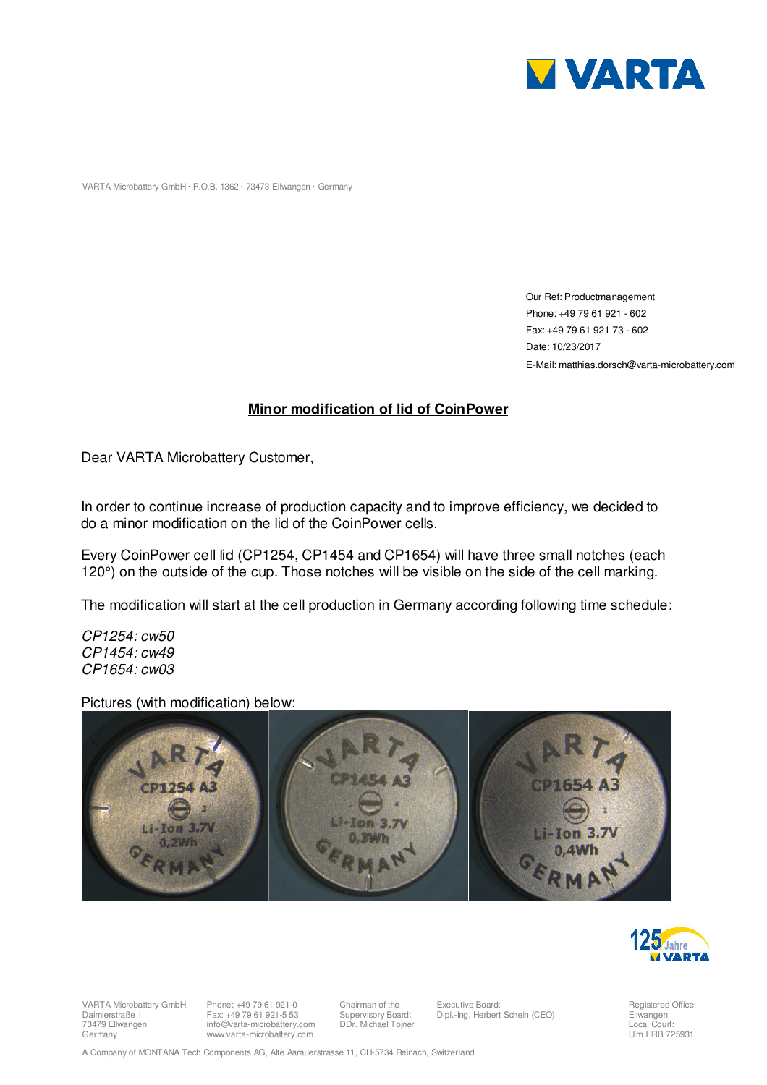

VARTA Microbattery GmbH · P.O.B. 1362 · 73473 Ellwangen · Germany

 Our Ref: Productmanagement Phone: +49 79 61 921 - 602 Fax: +49 79 61 921 73 - 602 Date: 10/23/2017 E-Mail: matthias.dorsch@varta-microbattery.com

## **Minor modification of lid of CoinPower**

Dear VARTA Microbattery Customer,

In order to continue increase of production capacity and to improve efficiency, we decided to do a minor modification on the lid of the CoinPower cells.

Every CoinPower cell lid (CP1254, CP1454 and CP1654) will have three small notches (each 120°) on the outside of the cup. Those notches will be visible on the side of the cell marking.

The modification will start at the cell production in Germany according following time schedule:

CP1254: cw50 CP1454: cw49 CP1654: cw03

Pictures (with modification) below:





VARTA Microbattery GmbH Daimlerstraße 1 73479 Ellwangen Germany

Phone: +49 79 61 921-0 Fax: +49 79 61 921-5 53 info@varta-microbattery.com www.varta-microbattery.com

Chairman of the Supervisory Board: DDr. Michael Tojner

Executive Board: Dipl.-Ing. Herbert Schein (CEO)

Registered Office: Ellwangen Local Court: Ulm HRB 725931

A Company of MONTANA Tech Components AG, Alte Aarauerstrasse 11, CH-5734 Reinach, Switzerland